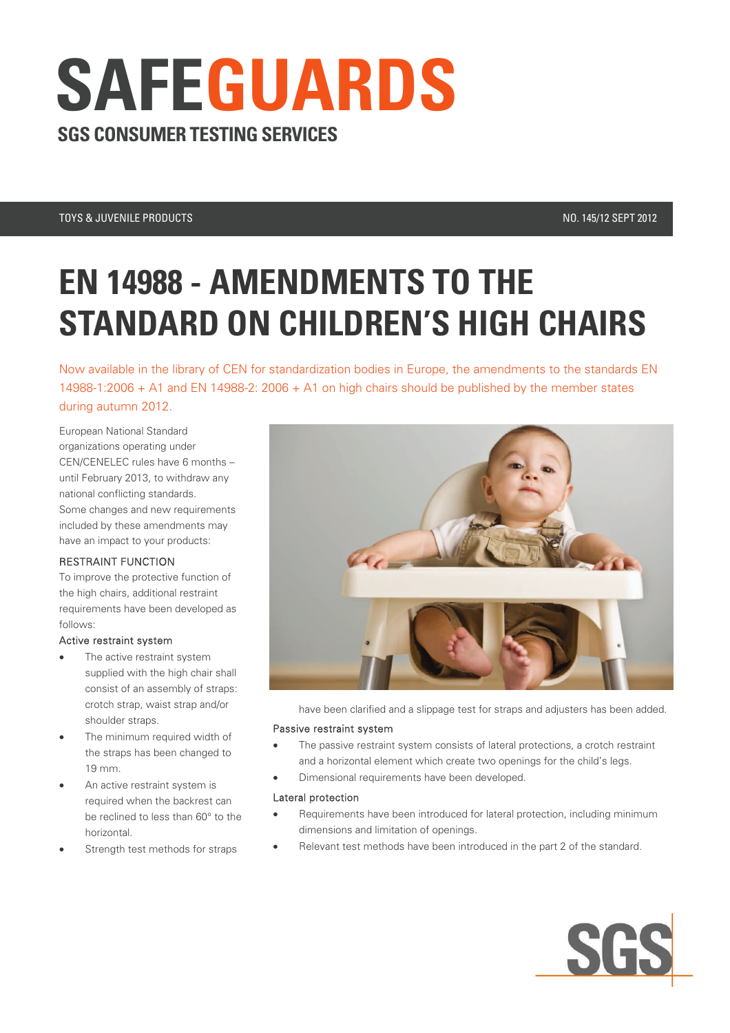# **SGS CONSUMER TESTING SERVICES SAFEGUARDS**

### TOYS & JUVENILE PRODUCTS NO. 145/12 SEPT 2012

## **EN 14988 - AMENDMENTS TO THE STANDARD ON CHILDREN'S HIGH CHAIRS**

Now available in the library of CEN for standardization bodies in Europe, the amendments to the standards EN 14988-1:2006 + A1 and EN 14988-2: 2006 + A1 on high chairs should be published by the member states during autumn 2012.

European National Standard organizations operating under CEN/CENELEC rules have 6 months – until February 2013, to withdraw any national conflicting standards. Some changes and new requirements included by these amendments may have an impact to your products:

#### RESTRAINT FUNCTION

To improve the protective function of the high chairs, additional restraint requirements have been developed as follows:

#### Active restraint system

- The active restraint system supplied with the high chair shall consist of an assembly of straps: crotch strap, waist strap and/or shoulder straps.
- The minimum required width of the straps has been changed to 19 mm.
- An active restraint system is required when the backrest can be reclined to less than 60° to the horizontal.
- Strength test methods for straps



have been clarified and a slippage test for straps and adjusters has been added.

#### Passive restraint system

- The passive restraint system consists of lateral protections, a crotch restraint and a horizontal element which create two openings for the child's legs.
- Dimensional requirements have been developed.

#### Lateral protection

- Requirements have been introduced for lateral protection, including minimum dimensions and limitation of openings.
- Relevant test methods have been introduced in the part 2 of the standard.